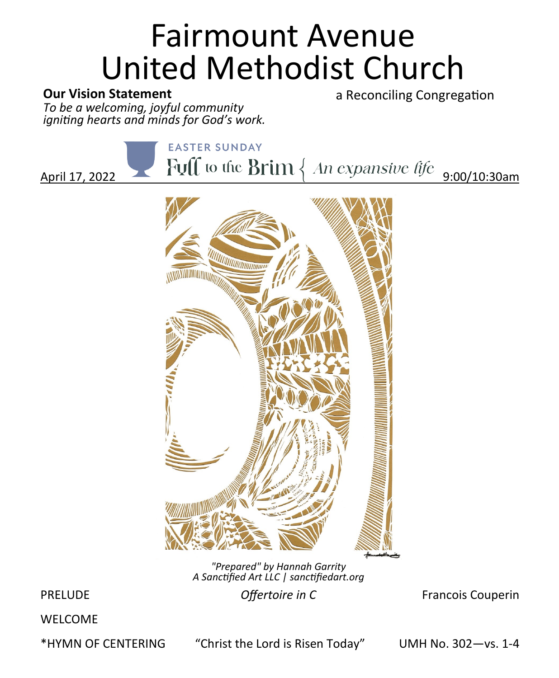# Fairmount Avenue United Methodist Church

## **Our Vision Statement**

a Reconciling Congregation

*To be a welcoming, joyful community igniting hearts and minds for God's work.*

**EASTER SUNDAY** 

April 17, 2022  $\bigcup_{\text{Full to the Brim } \{An \text{ expansion} \}} \{ \text{A} \cup \text{A} \}$ 



*"Prepared" by Hannah Garrity A Sanctified Art LLC | sanctifiedart.org*

**PRELUDE COLOGITY IN CONTACT CONSTRUCTED PRELUDE COLOGITY CONTACT CONSTRUCTS COLOGITY COLOGITY COLOGITY COLOGITY COLOGITY COLOGITY COLOGITY COLOGITY COLOGITY COLOGITY COLOGITY COLOGITY COLOGIT** 

WELCOME

\*HYMN OF CENTERING "Christ the Lord is Risen Today" UMH No. 302—vs. 1-4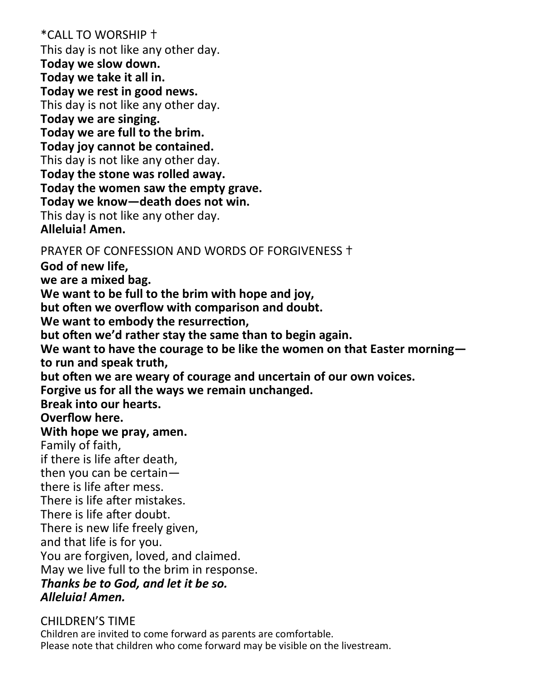\*CALL TO WORSHIP ✝ This day is not like any other day. **Today we slow down. Today we take it all in. Today we rest in good news.** This day is not like any other day. **Today we are singing. Today we are full to the brim. Today joy cannot be contained.** This day is not like any other day. **Today the stone was rolled away. Today the women saw the empty grave. Today we know—death does not win.** This day is not like any other day. **Alleluia! Amen.** PRAYER OF CONFESSION AND WORDS OF FORGIVENESS ✝ **God of new life, we are a mixed bag. We want to be full to the brim with hope and joy, but often we overflow with comparison and doubt. We want to embody the resurrection, but often we'd rather stay the same than to begin again. We want to have the courage to be like the women on that Easter morning to run and speak truth, but often we are weary of courage and uncertain of our own voices. Forgive us for all the ways we remain unchanged. Break into our hearts. Overflow here. With hope we pray, amen.** Family of faith, if there is life after death, then you can be certain there is life after mess. There is life after mistakes. There is life after doubt. There is new life freely given, and that life is for you. You are forgiven, loved, and claimed. May we live full to the brim in response. *Thanks be to God, and let it be so. Alleluia! Amen.* 

#### CHILDREN'S TIME

Children are invited to come forward as parents are comfortable. Please note that children who come forward may be visible on the livestream.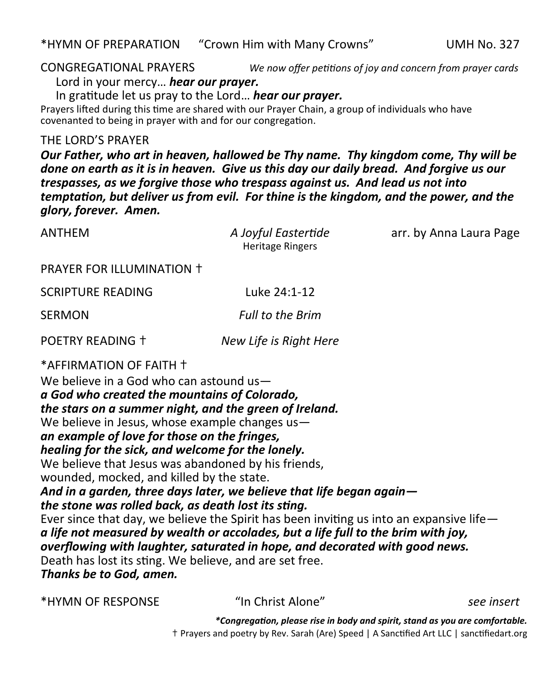CONGREGATIONAL PRAYERS *We now offer petitions of joy and concern from prayer cards*

Lord in your mercy… *hear our prayer.*

In gratitude let us pray to the Lord… *hear our prayer.*

Prayers lifted during this time are shared with our Prayer Chain, a group of individuals who have covenanted to being in prayer with and for our congregation.

THE LORD'S PRAYER

*Our Father, who art in heaven, hallowed be Thy name. Thy kingdom come, Thy will be done on earth as it is in heaven. Give us this day our daily bread. And forgive us our trespasses, as we forgive those who trespass against us. And lead us not into temptation, but deliver us from evil. For thine is the kingdom, and the power, and the glory, forever. Amen.*

ANTHEM *A Joyful Eastertide* arr. by Anna Laura Page

|                                                                                                                                                                                                                                                                                                                                                                                                                                                                                                                                                                                      | ,,,,,,,,,,,,,,,,,,,,,<br><b>Heritage Ringers</b>                                                                                                                                                                                                                                                                                       |                                                                             |
|--------------------------------------------------------------------------------------------------------------------------------------------------------------------------------------------------------------------------------------------------------------------------------------------------------------------------------------------------------------------------------------------------------------------------------------------------------------------------------------------------------------------------------------------------------------------------------------|----------------------------------------------------------------------------------------------------------------------------------------------------------------------------------------------------------------------------------------------------------------------------------------------------------------------------------------|-----------------------------------------------------------------------------|
| PRAYER FOR ILLUMINATION +                                                                                                                                                                                                                                                                                                                                                                                                                                                                                                                                                            |                                                                                                                                                                                                                                                                                                                                        |                                                                             |
| <b>SCRIPTURE READING</b>                                                                                                                                                                                                                                                                                                                                                                                                                                                                                                                                                             | Luke 24:1-12                                                                                                                                                                                                                                                                                                                           |                                                                             |
| <b>SERMON</b>                                                                                                                                                                                                                                                                                                                                                                                                                                                                                                                                                                        | <b>Full to the Brim</b>                                                                                                                                                                                                                                                                                                                |                                                                             |
| POETRY READING +                                                                                                                                                                                                                                                                                                                                                                                                                                                                                                                                                                     | New Life is Right Here                                                                                                                                                                                                                                                                                                                 |                                                                             |
| *AFFIRMATION OF FAITH +<br>We believe in a God who can astound us-<br>a God who created the mountains of Colorado,<br>the stars on a summer night, and the green of Ireland.<br>We believe in Jesus, whose example changes us-<br>an example of love for those on the fringes,<br>healing for the sick, and welcome for the lonely.<br>We believe that Jesus was abandoned by his friends,<br>wounded, mocked, and killed by the state.<br>the stone was rolled back, as death lost its sting.<br>Death has lost its sting. We believe, and are set free.<br>Thanks be to God, amen. | And in a garden, three days later, we believe that life began again-<br>Ever since that day, we believe the Spirit has been inviting us into an expansive life $-$<br>a life not measured by wealth or accolades, but a life full to the brim with joy,<br>overflowing with laughter, saturated in hope, and decorated with good news. |                                                                             |
| *HYMN OF RESPONSE                                                                                                                                                                                                                                                                                                                                                                                                                                                                                                                                                                    | "In Christ Alone"                                                                                                                                                                                                                                                                                                                      | see insert                                                                  |
|                                                                                                                                                                                                                                                                                                                                                                                                                                                                                                                                                                                      |                                                                                                                                                                                                                                                                                                                                        | *Congregation, please rise in body and spirit, stand as you are comfortable |

*\*Congregation, please rise in body and spirit, stand as you are comfortable.* ✝ Prayers and poetry by Rev. Sarah (Are) Speed | A Sanctified Art LLC | sanctifiedart.org